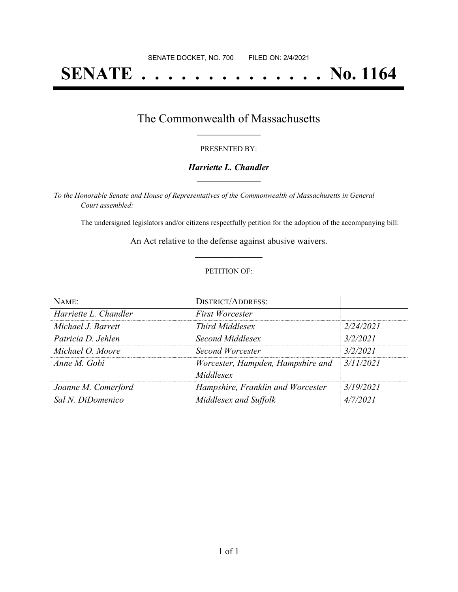# **SENATE . . . . . . . . . . . . . . No. 1164**

## The Commonwealth of Massachusetts **\_\_\_\_\_\_\_\_\_\_\_\_\_\_\_\_\_**

#### PRESENTED BY:

#### *Harriette L. Chandler* **\_\_\_\_\_\_\_\_\_\_\_\_\_\_\_\_\_**

*To the Honorable Senate and House of Representatives of the Commonwealth of Massachusetts in General Court assembled:*

The undersigned legislators and/or citizens respectfully petition for the adoption of the accompanying bill:

An Act relative to the defense against abusive waivers. **\_\_\_\_\_\_\_\_\_\_\_\_\_\_\_**

#### PETITION OF:

| NAME:                 | <b>DISTRICT/ADDRESS:</b>                       |           |
|-----------------------|------------------------------------------------|-----------|
| Harriette L. Chandler | <b>First Worcester</b>                         |           |
| Michael J. Barrett    | <b>Third Middlesex</b>                         | 2/24/2021 |
| Patricia D. Jehlen    | Second Middlesex                               | 3/2/2021  |
| Michael O. Moore      | Second Worcester                               | 3/2/2021  |
| Anne M. Gobi          | Worcester, Hampden, Hampshire and<br>Middlesex | 3/11/2021 |
| Joanne M. Comerford   | Hampshire, Franklin and Worcester              | 3/19/2021 |
| Sal N. DiDomenico     | Middlesex and Suffolk                          | 4/7/2021  |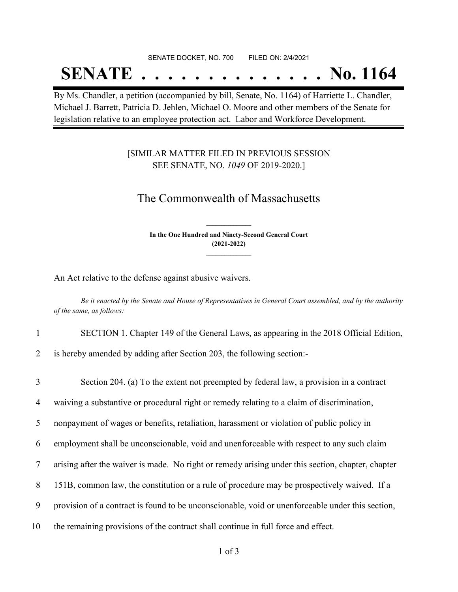#### SENATE DOCKET, NO. 700 FILED ON: 2/4/2021

## **SENATE . . . . . . . . . . . . . . No. 1164**

By Ms. Chandler, a petition (accompanied by bill, Senate, No. 1164) of Harriette L. Chandler, Michael J. Barrett, Patricia D. Jehlen, Michael O. Moore and other members of the Senate for legislation relative to an employee protection act. Labor and Workforce Development.

### [SIMILAR MATTER FILED IN PREVIOUS SESSION SEE SENATE, NO. *1049* OF 2019-2020.]

## The Commonwealth of Massachusetts

**In the One Hundred and Ninety-Second General Court (2021-2022) \_\_\_\_\_\_\_\_\_\_\_\_\_\_\_**

**\_\_\_\_\_\_\_\_\_\_\_\_\_\_\_**

An Act relative to the defense against abusive waivers.

Be it enacted by the Senate and House of Representatives in General Court assembled, and by the authority *of the same, as follows:*

1 SECTION 1. Chapter 149 of the General Laws, as appearing in the 2018 Official Edition,

2 is hereby amended by adding after Section 203, the following section:-

 Section 204. (a) To the extent not preempted by federal law, a provision in a contract waiving a substantive or procedural right or remedy relating to a claim of discrimination, nonpayment of wages or benefits, retaliation, harassment or violation of public policy in employment shall be unconscionable, void and unenforceable with respect to any such claim arising after the waiver is made. No right or remedy arising under this section, chapter, chapter 151B, common law, the constitution or a rule of procedure may be prospectively waived. If a provision of a contract is found to be unconscionable, void or unenforceable under this section, the remaining provisions of the contract shall continue in full force and effect.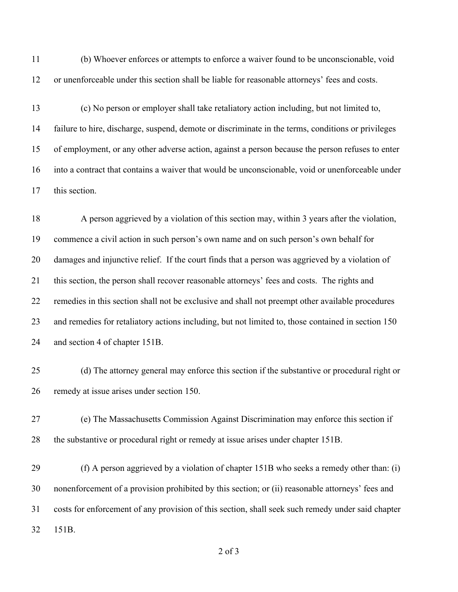(b) Whoever enforces or attempts to enforce a waiver found to be unconscionable, void or unenforceable under this section shall be liable for reasonable attorneys' fees and costs.

 (c) No person or employer shall take retaliatory action including, but not limited to, failure to hire, discharge, suspend, demote or discriminate in the terms, conditions or privileges of employment, or any other adverse action, against a person because the person refuses to enter into a contract that contains a waiver that would be unconscionable, void or unenforceable under this section.

 A person aggrieved by a violation of this section may, within 3 years after the violation, commence a civil action in such person's own name and on such person's own behalf for damages and injunctive relief. If the court finds that a person was aggrieved by a violation of this section, the person shall recover reasonable attorneys' fees and costs. The rights and remedies in this section shall not be exclusive and shall not preempt other available procedures and remedies for retaliatory actions including, but not limited to, those contained in section 150 and section 4 of chapter 151B.

 (d) The attorney general may enforce this section if the substantive or procedural right or remedy at issue arises under section 150.

 (e) The Massachusetts Commission Against Discrimination may enforce this section if the substantive or procedural right or remedy at issue arises under chapter 151B.

 (f) A person aggrieved by a violation of chapter 151B who seeks a remedy other than: (i) nonenforcement of a provision prohibited by this section; or (ii) reasonable attorneys' fees and costs for enforcement of any provision of this section, shall seek such remedy under said chapter 151B.

of 3